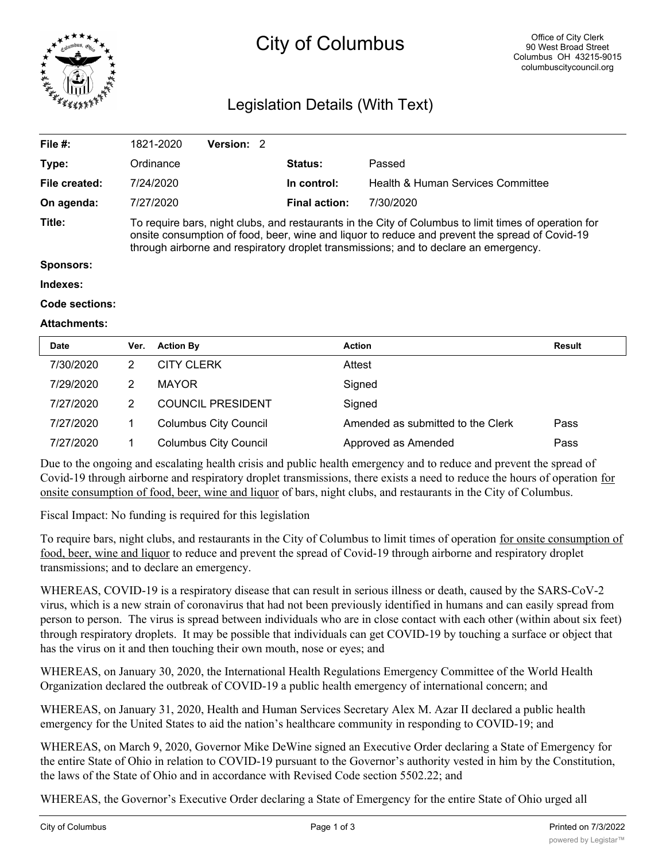

# City of Columbus

# Legislation Details (With Text)

| File $#$ :       | 1821-2020                                                                                                                                                                                                                                                                                       | <b>Version: 2</b> |  |                      |                                   |  |  |
|------------------|-------------------------------------------------------------------------------------------------------------------------------------------------------------------------------------------------------------------------------------------------------------------------------------------------|-------------------|--|----------------------|-----------------------------------|--|--|
| Type:            | Ordinance                                                                                                                                                                                                                                                                                       |                   |  | <b>Status:</b>       | Passed                            |  |  |
| File created:    | 7/24/2020                                                                                                                                                                                                                                                                                       |                   |  | In control:          | Health & Human Services Committee |  |  |
| On agenda:       | 7/27/2020                                                                                                                                                                                                                                                                                       |                   |  | <b>Final action:</b> | 7/30/2020                         |  |  |
| Title:           | To require bars, night clubs, and restaurants in the City of Columbus to limit times of operation for<br>onsite consumption of food, beer, wine and liquor to reduce and prevent the spread of Covid-19<br>through airborne and respiratory droplet transmissions; and to declare an emergency. |                   |  |                      |                                   |  |  |
| <b>Sponsors:</b> |                                                                                                                                                                                                                                                                                                 |                   |  |                      |                                   |  |  |
| Indexes:         |                                                                                                                                                                                                                                                                                                 |                   |  |                      |                                   |  |  |
|                  |                                                                                                                                                                                                                                                                                                 |                   |  |                      |                                   |  |  |

#### **Code sections:**

#### **Attachments:**

| <b>Date</b> | Ver. | <b>Action By</b>             | <b>Action</b>                     | <b>Result</b> |
|-------------|------|------------------------------|-----------------------------------|---------------|
| 7/30/2020   | 2    | <b>CITY CLERK</b>            | Attest                            |               |
| 7/29/2020   | 2    | <b>MAYOR</b>                 | Signed                            |               |
| 7/27/2020   | 2    | <b>COUNCIL PRESIDENT</b>     | Signed                            |               |
| 7/27/2020   |      | <b>Columbus City Council</b> | Amended as submitted to the Clerk | Pass          |
| 7/27/2020   |      | <b>Columbus City Council</b> | Approved as Amended               | Pass          |

Due to the ongoing and escalating health crisis and public health emergency and to reduce and prevent the spread of Covid-19 through airborne and respiratory droplet transmissions, there exists a need to reduce the hours of operation for onsite consumption of food, beer, wine and liquor of bars, night clubs, and restaurants in the City of Columbus.

Fiscal Impact: No funding is required for this legislation

To require bars, night clubs, and restaurants in the City of Columbus to limit times of operation for onsite consumption of food, beer, wine and liquor to reduce and prevent the spread of Covid-19 through airborne and respiratory droplet transmissions; and to declare an emergency.

WHEREAS, COVID-19 is a respiratory disease that can result in serious illness or death, caused by the SARS-CoV-2 virus, which is a new strain of coronavirus that had not been previously identified in humans and can easily spread from person to person. The virus is spread between individuals who are in close contact with each other (within about six feet) through respiratory droplets. It may be possible that individuals can get COVID-19 by touching a surface or object that has the virus on it and then touching their own mouth, nose or eyes; and

WHEREAS, on January 30, 2020, the International Health Regulations Emergency Committee of the World Health Organization declared the outbreak of COVID-19 a public health emergency of international concern; and

WHEREAS, on January 31, 2020, Health and Human Services Secretary Alex M. Azar II declared a public health emergency for the United States to aid the nation's healthcare community in responding to COVID-19; and

WHEREAS, on March 9, 2020, Governor Mike DeWine signed an Executive Order declaring a State of Emergency for the entire State of Ohio in relation to COVID-19 pursuant to the Governor's authority vested in him by the Constitution, the laws of the State of Ohio and in accordance with Revised Code section 5502.22; and

WHEREAS, the Governor's Executive Order declaring a State of Emergency for the entire State of Ohio urged all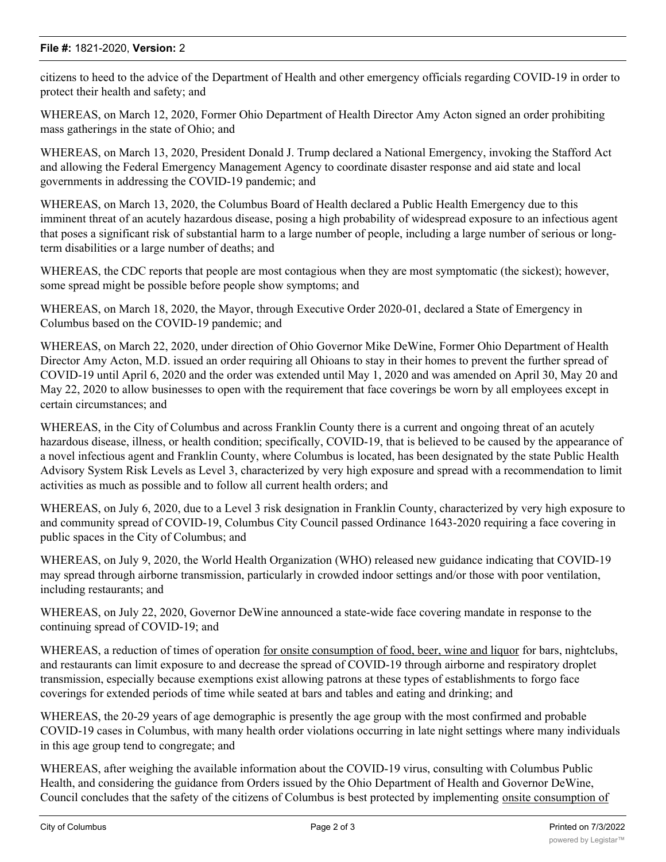## **File #:** 1821-2020, **Version:** 2

citizens to heed to the advice of the Department of Health and other emergency officials regarding COVID-19 in order to protect their health and safety; and

WHEREAS, on March 12, 2020, Former Ohio Department of Health Director Amy Acton signed an order prohibiting mass gatherings in the state of Ohio; and

WHEREAS, on March 13, 2020, President Donald J. Trump declared a National Emergency, invoking the Stafford Act and allowing the Federal Emergency Management Agency to coordinate disaster response and aid state and local governments in addressing the COVID-19 pandemic; and

WHEREAS, on March 13, 2020, the Columbus Board of Health declared a Public Health Emergency due to this imminent threat of an acutely hazardous disease, posing a high probability of widespread exposure to an infectious agent that poses a significant risk of substantial harm to a large number of people, including a large number of serious or longterm disabilities or a large number of deaths; and

WHEREAS, the CDC reports that people are most contagious when they are most symptomatic (the sickest); however, some spread might be possible before people show symptoms; and

WHEREAS, on March 18, 2020, the Mayor, through Executive Order 2020-01, declared a State of Emergency in Columbus based on the COVID-19 pandemic; and

WHEREAS, on March 22, 2020, under direction of Ohio Governor Mike DeWine, Former Ohio Department of Health Director Amy Acton, M.D. issued an order requiring all Ohioans to stay in their homes to prevent the further spread of COVID-19 until April 6, 2020 and the order was extended until May 1, 2020 and was amended on April 30, May 20 and May 22, 2020 to allow businesses to open with the requirement that face coverings be worn by all employees except in certain circumstances; and

WHEREAS, in the City of Columbus and across Franklin County there is a current and ongoing threat of an acutely hazardous disease, illness, or health condition; specifically, COVID-19, that is believed to be caused by the appearance of a novel infectious agent and Franklin County, where Columbus is located, has been designated by the state Public Health Advisory System Risk Levels as Level 3, characterized by very high exposure and spread with a recommendation to limit activities as much as possible and to follow all current health orders; and

WHEREAS, on July 6, 2020, due to a Level 3 risk designation in Franklin County, characterized by very high exposure to and community spread of COVID-19, Columbus City Council passed Ordinance 1643-2020 requiring a face covering in public spaces in the City of Columbus; and

WHEREAS, on July 9, 2020, the World Health Organization (WHO) released new guidance indicating that COVID-19 may spread through airborne transmission, particularly in crowded indoor settings and/or those with poor ventilation, including restaurants; and

WHEREAS, on July 22, 2020, Governor DeWine announced a state-wide face covering mandate in response to the continuing spread of COVID-19; and

WHEREAS, a reduction of times of operation for onsite consumption of food, beer, wine and liquor for bars, nightclubs, and restaurants can limit exposure to and decrease the spread of COVID-19 through airborne and respiratory droplet transmission, especially because exemptions exist allowing patrons at these types of establishments to forgo face coverings for extended periods of time while seated at bars and tables and eating and drinking; and

WHEREAS, the 20-29 years of age demographic is presently the age group with the most confirmed and probable COVID-19 cases in Columbus, with many health order violations occurring in late night settings where many individuals in this age group tend to congregate; and

WHEREAS, after weighing the available information about the COVID-19 virus, consulting with Columbus Public Health, and considering the guidance from Orders issued by the Ohio Department of Health and Governor DeWine, Council concludes that the safety of the citizens of Columbus is best protected by implementing onsite consumption of